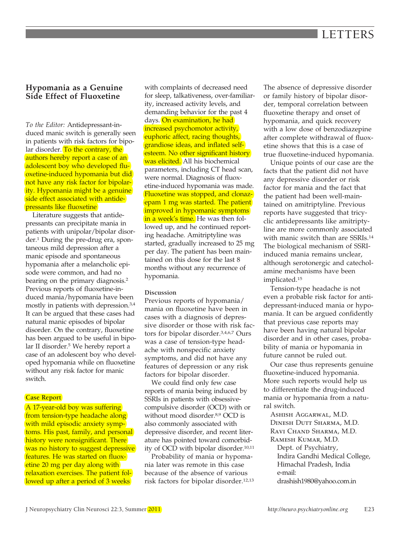# **Hypomania as a Genuine Side Effect of Fluoxetine**

*To the Editor:* Antidepressant-induced manic switch is generally seen in patients with risk factors for bipolar disorder. To the contrary, the authors hereby report a case of an adolescent boy who developed fluoxetine-induced hypomania but did not have any risk factor for bipolarity. Hypomania might be a genuine side effect associated with antidepressants like fluoxetine

Literature suggests that antidepressants can precipitate mania in patients with unipolar/bipolar disorder.1 During the pre-drug era, spontaneous mild depression after a manic episode and spontaneous hypomania after a melancholic episode were common, and had no bearing on the primary diagnosis.2 Previous reports of fluoxetine-induced mania/hypomania have been mostly in patients with depression.3,4 It can be argued that these cases had natural manic episodes of bipolar disorder. On the contrary, fluoxetine has been argued to be useful in bipolar II disorder.<sup>5</sup> We hereby report a case of an adolescent boy who developed hypomania while on fluoxetine without any risk factor for manic switch.

## **Case Report**

A 17-year-old boy was suffering from tension-type headache along with mild episodic anxiety symptoms. His past, family, and personal history were nonsignificant. There was no history to suggest depressive features. He was started on fluoxetine 20 mg per day along with relaxation exercises. The patient followed up after a period of 3 weeks

with complaints of decreased need for sleep, talkativeness, over-familiarity, increased activity levels, and demanding behavior for the past 4 days. On examination, he had increased psychomotor activity, euphoric affect, racing thoughts, grandiose ideas, and inflated selfesteem. No other significant history was elicited. All his biochemical parameters, including CT head scan, were normal. Diagnosis of fluoxetine-induced hypomania was made. Fluoxetine was stopped, and clonazepam 1 mg was started. The patient improved in hypomanic symptoms in a week's time. He was then followed up, and he continued reporting headache. Amitriptyline was started, gradually increased to 25 mg per day. The patient has been maintained on this dose for the last 8 months without any recurrence of hypomania.

## **Discussion**

Previous reports of hypomania/ mania on fluoxetine have been in cases with a diagnosis of depressive disorder or those with risk factors for bipolar disorder.3,4,6,7 Ours was a case of tension-type headache with nonspecific anxiety symptoms, and did not have any features of depression or any risk factors for bipolar disorder.

We could find only few case reports of mania being induced by SSRIs in patients with obsessivecompulsive disorder (OCD) with or without mood disorder.8,9 OCD is also commonly associated with depressive disorder, and recent literature has pointed toward comorbidity of OCD with bipolar disorder.<sup>10,11</sup>

Probability of mania or hypomania later was remote in this case because of the absence of various risk factors for bipolar disorder.12,13 The absence of depressive disorder or family history of bipolar disorder, temporal correlation between fluoxetine therapy and onset of hypomania, and quick recovery with a low dose of benzodiazepine after complete withdrawal of fluoxetine shows that this is a case of true fluoxetine-induced hypomania.

Unique points of our case are the facts that the patient did not have any depressive disorder or risk factor for mania and the fact that the patient had been well-maintained on amitriptyline. Previous reports have suggested that tricyclic antidepressants like amitriptyline are more commonly associated with manic switch than are SSRIs.14 The biological mechanism of SSRIinduced mania remains unclear, although serotonergic and catecholamine mechanisms have been implicated.15

Tension-type headache is not even a probable risk factor for antidepressant-induced mania or hypomania. It can be argued confidently that previous case reports may have been having natural bipolar disorder and in other cases, probability of mania or hypomania in future cannot be ruled out.

Our case thus represents genuine fluoxetine-induced hypomania. More such reports would help us to differentiate the drug-induced mania or hypomania from a natural switch.

Ashish Aggarwal, M.D. Dinesh Dutt Sharma, M.D. Ravi Chand Sharma, M.D. Ramesh Kumar, M.D. Dept. of Psychiatry, Indira Gandhi Medical College, Himachal Pradesh, India e-mail: drashish1980@yahoo.com.in